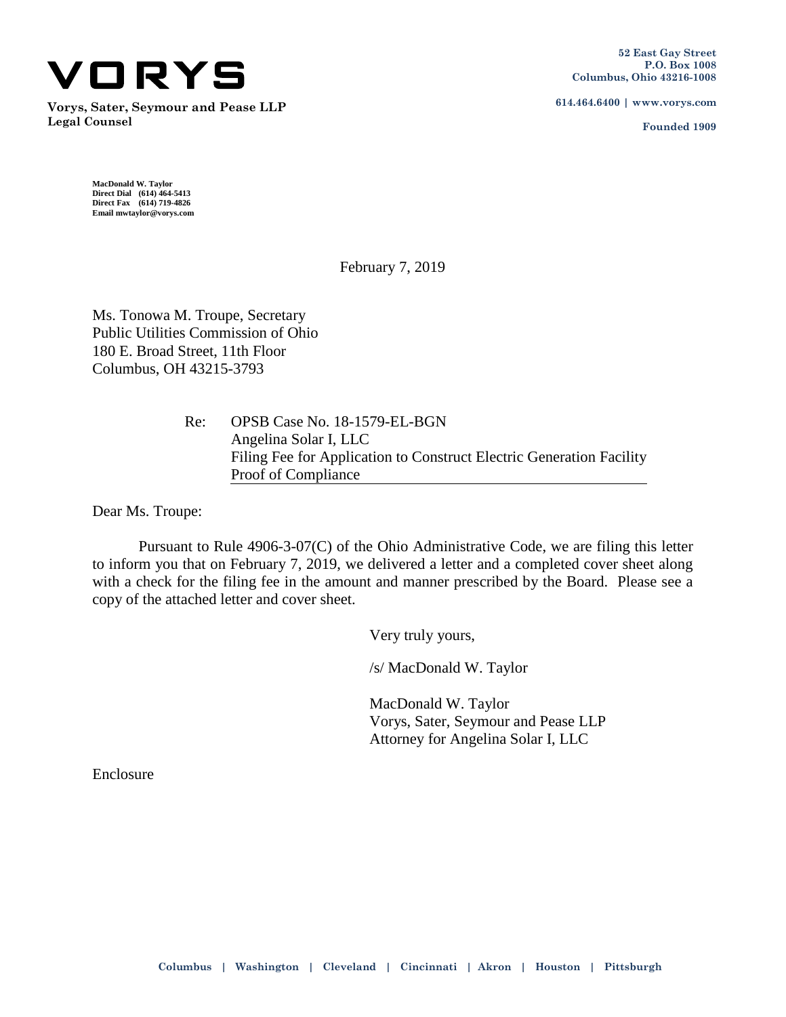

**Vorys, Sater, Seymour and Pease LLP Legal Counsel**

**614.464.6400 | www.vorys.com**

**Founded 1909**

**MacDonald W. Taylor Direct Dial (614) 464-5413 Direct Fax (614) 719-4826 Email mwtaylor@vorys.com** 

February 7, 2019

Ms. Tonowa M. Troupe, Secretary Public Utilities Commission of Ohio 180 E. Broad Street, 11th Floor Columbus, OH 43215-3793

> Re: OPSB Case No. 18-1579-EL-BGN Angelina Solar I, LLC Filing Fee for Application to Construct Electric Generation Facility Proof of Compliance

Dear Ms. Troupe:

Pursuant to Rule 4906-3-07(C) of the Ohio Administrative Code, we are filing this letter to inform you that on February 7, 2019, we delivered a letter and a completed cover sheet along with a check for the filing fee in the amount and manner prescribed by the Board. Please see a copy of the attached letter and cover sheet.

Very truly yours,

/s/ MacDonald W. Taylor

MacDonald W. Taylor Vorys, Sater, Seymour and Pease LLP Attorney for Angelina Solar I, LLC

Enclosure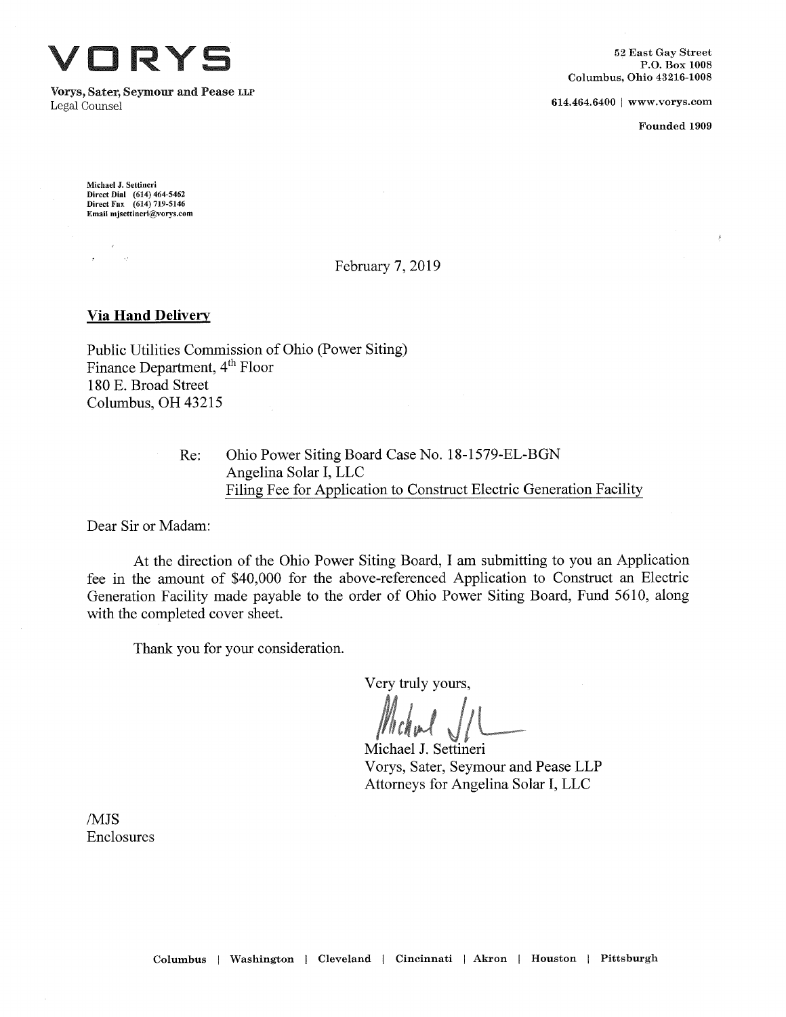ORYS

Vorys, **Sater, Seymour and** Pease **llp** Legal Counsel **614.464.6400** [www.vorys.com](http://www.vorys.com)

Founded 1909

Michael J. Settineri Direct Dial (614)464-5462 Direct Fax (614)719-5146 Email [mjsettineri@vorys.com](mailto:mjsettineri@vorys.com)

## February 7, 2019

## **Via Hand Delivery**

Public Utilities Commission of Ohio (Power Siting) Finance Department, 4<sup>th</sup> Floor 180 E. Broad Street Columbus, OH 43215

> Ohio Power Siting Board Case No. 18-1579-EL-BGN Angelina Solar I, EEC Filing Fee for Application to Construct Electric Generation Facility Re:

Dear Sir or Madam:

At the direction of the Ohio Power Siting Board, I am submitting to you an Application fee in the amount of \$40,000 for the above-referenced Application to Construct an Electric Generation Facility made payable to the order of Ohio Power Siting Board, Fund 5610, along with the completed cover sheet.

Thank you for your consideration.

Very truly yours.

Michael J. Settineri Vorys, Sater, Seymour and Pease LLP Attorneys for Angelina Solar I, LLC

/MJS Enclosures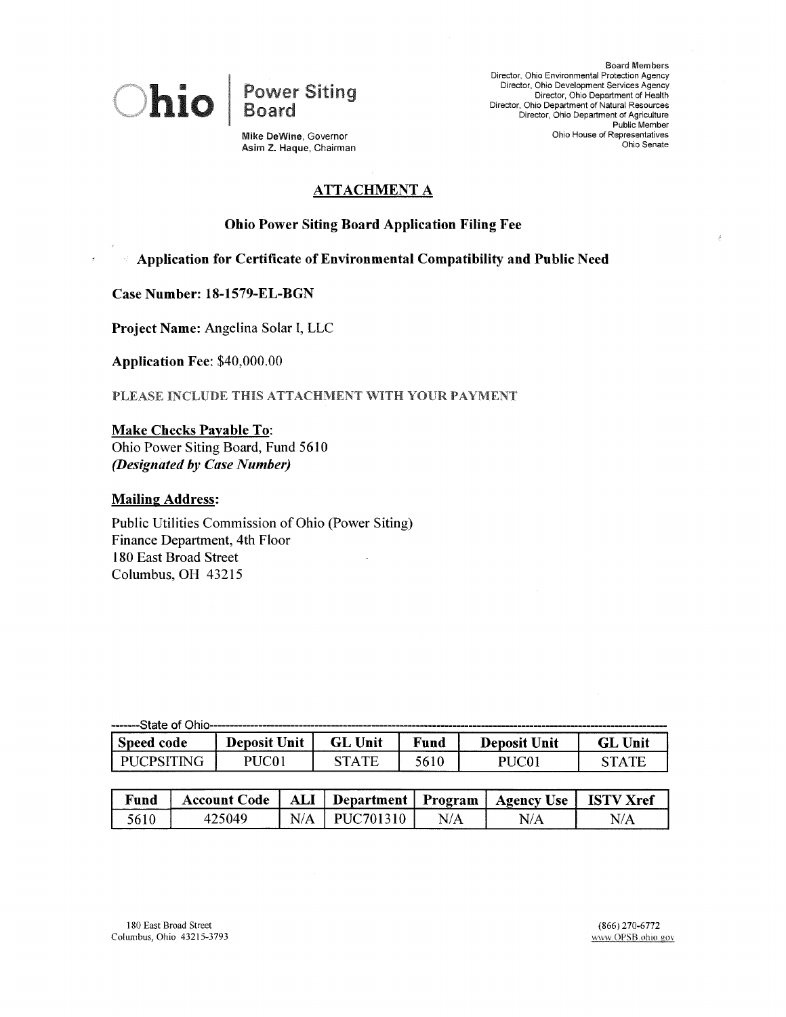

Power Siting Board

Board Members Director, Ohio Environmental Protection Agency Director, Ohio Development Services Agency Director, Ohio Department of Health Director, Ohio Department of Natural Resources Director, Ohio Department of Agriculture Public Member Ohio House of Representatives Ohio Senate

**Mike** DeWine, Governor **Asim Z. Haque, Chairman**

# **ATTACHMENT A**

## **Ohio Power Siting Board Application Filing Fee**

**Application for Certificate ofEnvironmental Compatibility and Public Need**

**Case Number: 18-1579-EL-BGN**

**Project Name:** Angelina Solar I, LLC

**Application Fee:** \$40,000.00

PLEASE INCLUDE THIS ATTACHMENT WITH YOUR PAYMENT

**Make Checks Payable To:** Ohio Power Siting Board, Fund 5610 *(Designated by Case Number)*

## **Mailing Address:**

Public Utilities Commission of Ohio (Power Siting) Finance Department, 4th Floor 180 East Broad Street Columbus, OH 43215

| Speed code        | <b>Deposit Unit</b> | <b>GL Unit</b> | Fund | <b>Deposit Unit</b> | <b>GL Unit</b> |
|-------------------|---------------------|----------------|------|---------------------|----------------|
| <b>PUCPSITING</b> | PUC01               | <b>STATE</b>   | 5610 | PHC <sub>01</sub>   | <b>STATE</b>   |

| Fund | <b>Account Code</b> | ALI | Department  | Program | <b>Use</b><br>Agency | -IST<br>.ref |
|------|---------------------|-----|-------------|---------|----------------------|--------------|
| 561  | :040                |     | DH 17<br>70 | N/A     | N                    | N            |